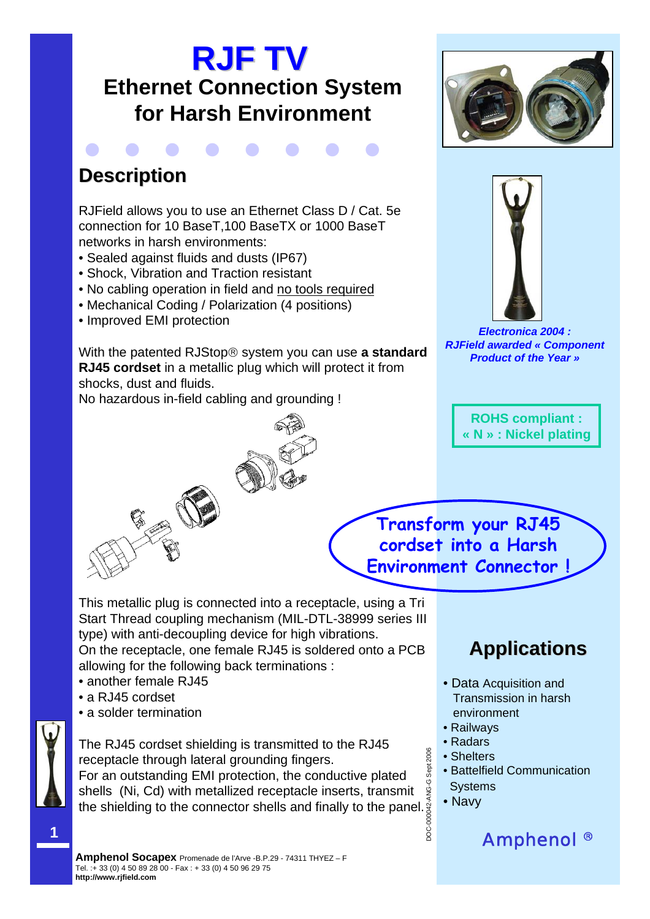# **RJF TV Ethernet Connection System for Harsh Environment**



# **Description Description**

RJField allows you to use an Ethernet Class D / Cat. 5e connection for 10 BaseT,100 BaseTX or 1000 BaseT networks in harsh environments:

- Sealed against fluids and dusts (IP67)
- Shock, Vibration and Traction resistant
- No cabling operation in field and no tools required
- Mechanical Coding / Polarization (4 positions)
- Improved EMI protection

With the patented RJStop® system you can use **a standard RJ45 cordset** in a metallic plug which will protect it from shocks, dust and fluids.

No hazardous in-field cabling and grounding !







*Electronica 2004 : RJField awarded « Component Product of the Year »*



**Transform your RJ45 cordset into a Harsh Environment Connector !** 

This metallic plug is connected into a receptacle, using a Tri Start Thread coupling mechanism (MIL-DTL-38999 series III type) with anti-decoupling device for high vibrations.

On the receptacle, one female RJ45 is soldered onto a PCB allowing for the following back terminations :

- another female RJ45
- a RJ45 cordset
- a solder termination

The RJ45 cordset shielding is transmitted to the RJ45 receptacle through lateral grounding fingers. For an outstanding EMI protection, the conductive plated shells (Ni, Cd) with metallized receptacle inserts, transmit

the shielding to the connector shells and finally to the panel.

# **Applications Applications**

- Data Acquisition and Transmission in harsh environment
- Railways
- Radars
- Shelters
- Battelfield Communication Systems

Amphenol ®

• Navy

DOC-000042-ANG-G Sept 2006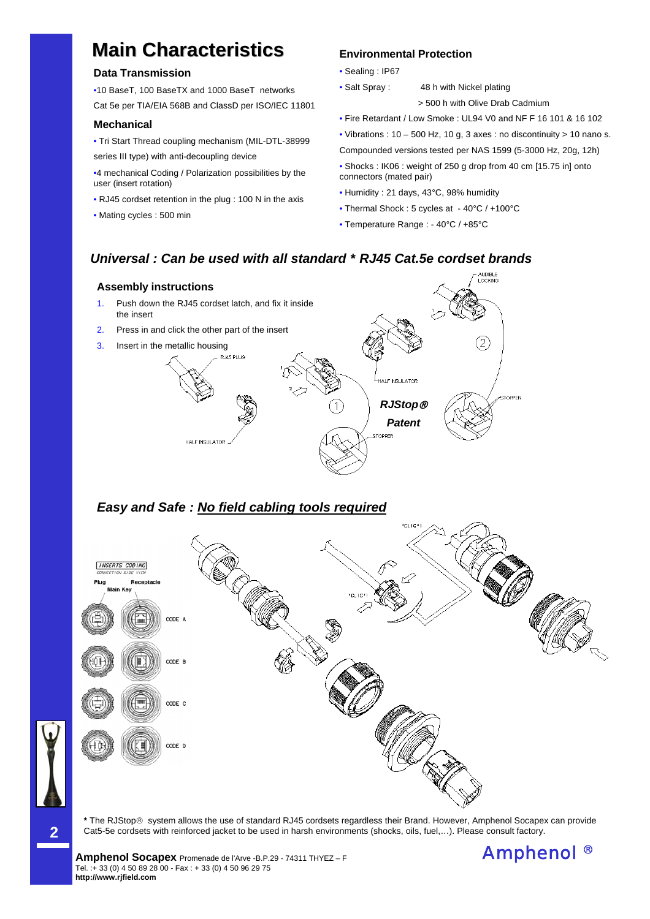# **Main Characteristics Characteristics Environmental Protection**

### **Data Transmission**

•10 BaseT, 100 BaseTX and 1000 BaseT networks

Cat 5e per TIA/EIA 568B and ClassD per ISO/IEC 11801

#### **Mechanical**

• Tri Start Thread coupling mechanism (MIL-DTL-38999 series III type) with anti-decoupling device

•4 mechanical Coding / Polarization possibilities by the user (insert rotation)

- RJ45 cordset retention in the plug : 100 N in the axis
- Mating cycles : 500 min

- Sealing : IP67
- Salt Spray : 48 h with Nickel plating
	- > 500 h with Olive Drab Cadmium
- Fire Retardant / Low Smoke : UL94 V0 and NF F 16 101 & 16 102
- Vibrations :  $10 500$  Hz,  $10$  g,  $3$  axes : no discontinuity >  $10$  nano s.
- Compounded versions tested per NAS 1599 (5-3000 Hz, 20g, 12h)
- Shocks : IK06 : weight of 250 g drop from 40 cm [15.75 in] onto connectors (mated pair)
- Humidity : 21 days, 43°C, 98% humidity
- Thermal Shock : 5 cycles at 40°C / +100°C
- Temperature Range : 40°C / +85°C

## *Universal : Can be used with all standard \* RJ45 Cat.5e cordset brands*



## *Easy and Safe : No field cabling tools required*



**\*** The RJStop® system allows the use of standard RJ45 cordsets regardless their Brand. However, Amphenol Socapex can provide Cat5-5e cordsets with reinforced jacket to be used in harsh environments (shocks, oils, fuel,…). Please consult factory.



**2**

**Amphenol Socapex** Promenade de l'Arve -B.P.29 - 74311 THYEZ – F **Amphenol 8** Tel. :+ 33 (0) 4 50 89 28 00 - Fax : + 33 (0) 4 50 96 29 75 **http://www.rjfield.com**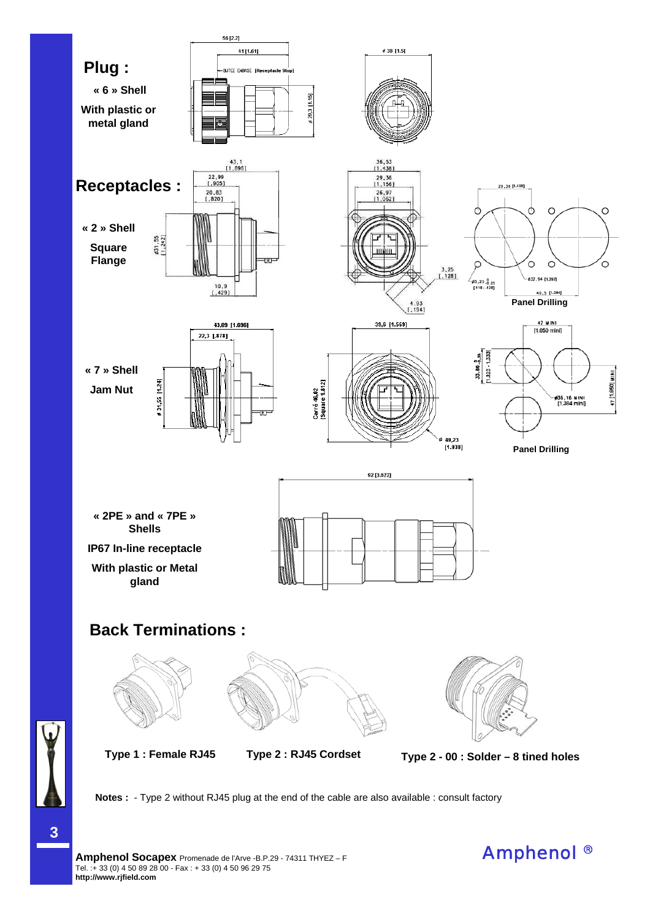

**Type 1 : Female RJ45 Type 2 : RJ45 Cordset Type 2 - 00 : Solder – 8 tined holes**

**Notes :** - Type 2 without RJ45 plug at the end of the cable are also available : consult factory

**3**